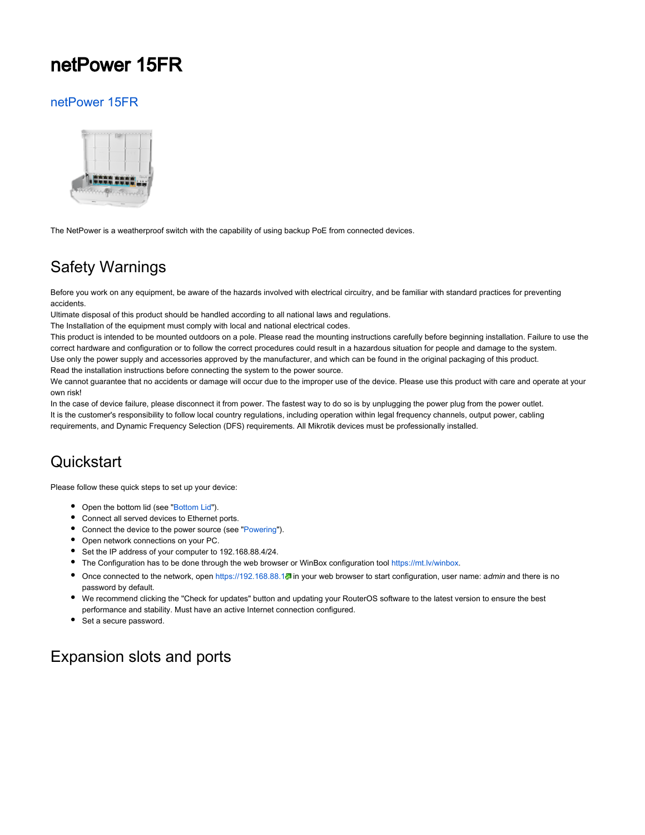## netPower 15FR

#### [netPower 15FR](https://mikrotik.com/product/crs318_1fi_15fr_2s_out)



The NetPower is a weatherproof switch with the capability of using backup PoE from connected devices.

## Safety Warnings

Before you work on any equipment, be aware of the hazards involved with electrical circuitry, and be familiar with standard practices for preventing accidents.

Ultimate disposal of this product should be handled according to all national laws and regulations.

The Installation of the equipment must comply with local and national electrical codes.

This product is intended to be mounted outdoors on a pole. Please read the mounting instructions carefully before beginning installation. Failure to use the correct hardware and configuration or to follow the correct procedures could result in a hazardous situation for people and damage to the system. Use only the power supply and accessories approved by the manufacturer, and which can be found in the original packaging of this product. Read the installation instructions before connecting the system to the power source.

We cannot guarantee that no accidents or damage will occur due to the improper use of the device. Please use this product with care and operate at your own risk!

In the case of device failure, please disconnect it from power. The fastest way to do so is by unplugging the power plug from the power outlet. It is the customer's responsibility to follow local country regulations, including operation within legal frequency channels, output power, cabling requirements, and Dynamic Frequency Selection (DFS) requirements. All Mikrotik devices must be professionally installed.

## **Quickstart**

Please follow these quick steps to set up your device:

- Open the bottom lid (see "[Bottom Lid"](#page-2-0)).
- Connect all served devices to Ethernet ports.
- Connect the device to the power source (see ["Powering"](#page-1-0)).
- Open network connections on your PC.
- Set the IP address of your computer to 192.168.88.4/24.
- The Configuration has to be done through the web browser or WinBox configuration tool <https://mt.lv/winbox>.
- Once connected to the network, open <https://192.168.88.1>. in your web browser to start configuration, user name: admin and there is no password by default.
- We recommend clicking the "Check for updates" button and updating your RouterOS software to the latest version to ensure the best performance and stability. Must have an active Internet connection configured.
- Set a secure password.

## Expansion slots and ports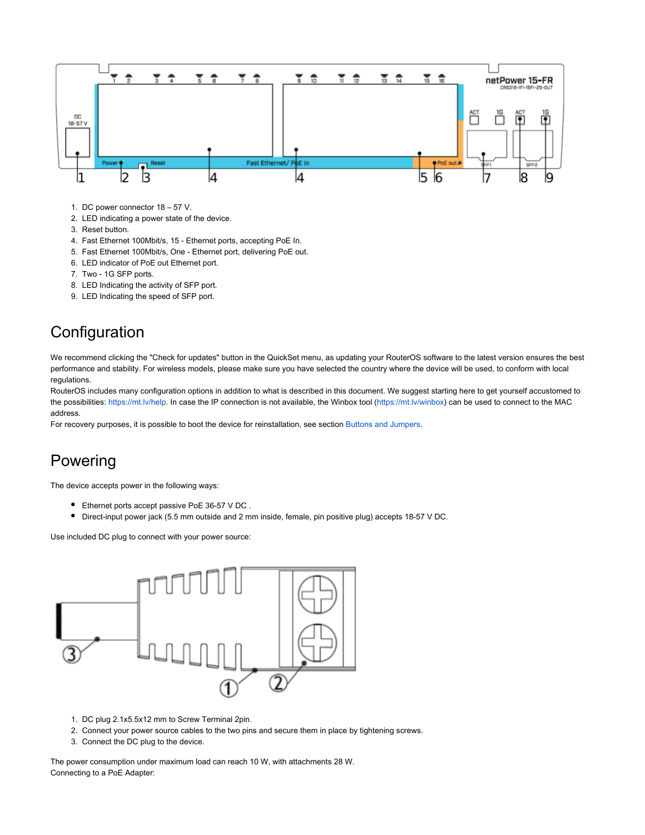

- 1. DC power connector 18 57 V.
- 2. LED indicating a power state of the device.
- 3. Reset button.
- 4. Fast Ethernet 100Mbit/s, 15 Ethernet ports, accepting PoE In.
- 5. Fast Ethernet 100Mbit/s, One Ethernet port, delivering PoE out.
- 6. LED indicator of PoE out Ethernet port.
- 7. Two 1G SFP ports.
- 8. LED Indicating the activity of SFP port.
- 9. LED Indicating the speed of SFP port.

## **Configuration**

We recommend clicking the "Check for updates" button in the QuickSet menu, as updating your RouterOS software to the latest version ensures the best performance and stability. For wireless models, please make sure you have selected the country where the device will be used, to conform with local regulations.

RouterOS includes many configuration options in addition to what is described in this document. We suggest starting here to get yourself accustomed to the possibilities: [https://mt.lv/help.](https://mt.lv/help) In case the IP connection is not available, the Winbox tool ([https://mt.lv/winbox\)](https://mt.lv/winbox) can be used to connect to the MAC address.

For recovery purposes, it is possible to boot the device for reinstallation, see section Buttons and Jumpers.

## <span id="page-1-0"></span>Powering

The device accepts power in the following ways:

- Ethernet ports accept passive PoE 36-57 V DC .
- Direct-input power jack (5.5 mm outside and 2 mm inside, female, pin positive plug) accepts 18-57 V DC.

Use included DC plug to connect with your power source:



- 1. DC plug 2.1x5.5x12 mm to Screw Terminal 2pin.
- 2. Connect your power source cables to the two pins and secure them in place by tightening screws.
- 3. Connect the DC plug to the device.

The power consumption under maximum load can reach 10 W, with attachments 28 W. Connecting to a PoE Adapter: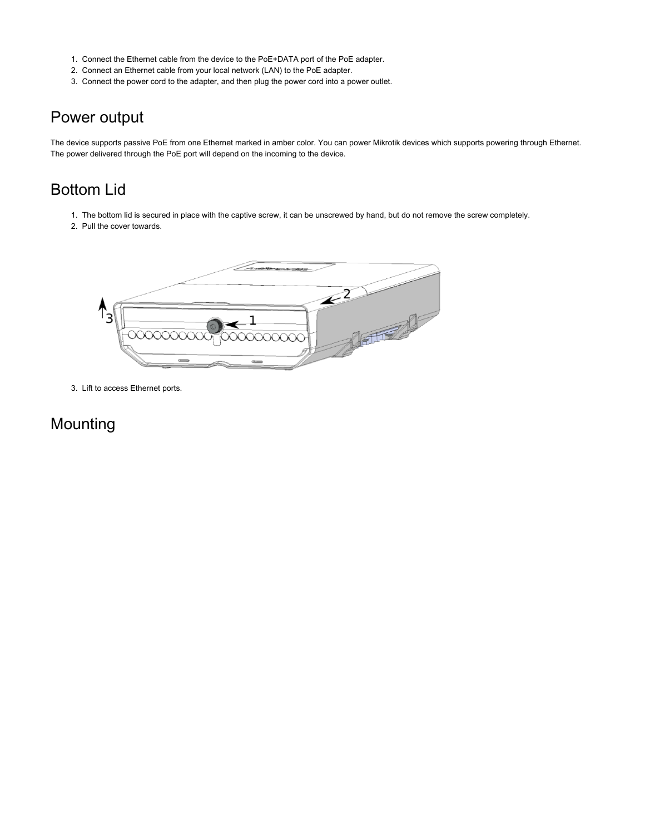- 1. Connect the Ethernet cable from the device to the PoE+DATA port of the PoE adapter.
- 2. Connect an Ethernet cable from your local network (LAN) to the PoE adapter.
- 3. Connect the power cord to the adapter, and then plug the power cord into a power outlet.

## Power output

The device supports passive PoE from one Ethernet marked in amber color. You can power Mikrotik devices which supports powering through Ethernet. The power delivered through the PoE port will depend on the incoming to the device.

## <span id="page-2-0"></span>Bottom Lid

- 1. The bottom lid is secured in place with the captive screw, it can be unscrewed by hand, but do not remove the screw completely.
- 2. Pull the cover towards.



3. Lift to access Ethernet ports.

## Mounting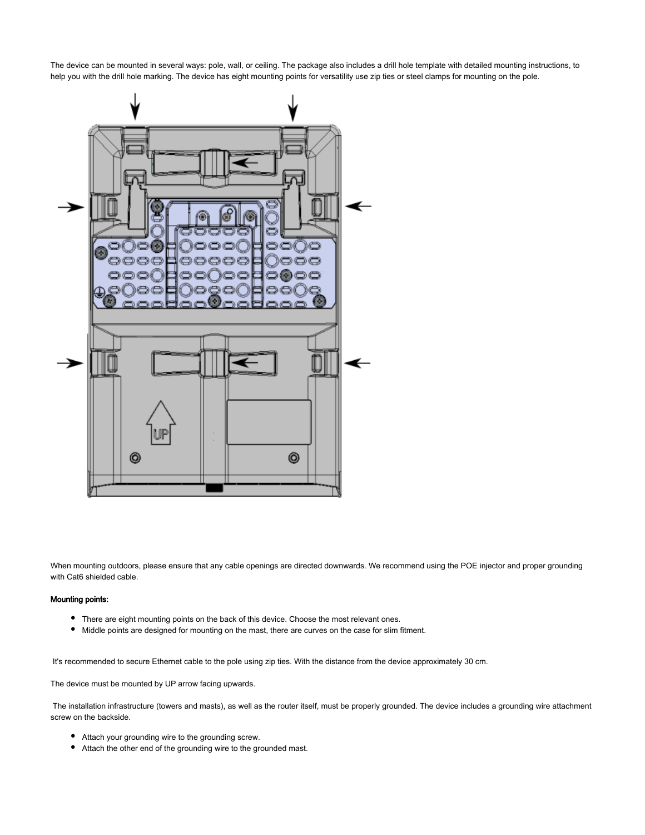The device can be mounted in several ways: pole, wall, or ceiling. The package also includes a drill hole template with detailed mounting instructions, to help you with the drill hole marking. The device has eight mounting points for versatility use zip ties or steel clamps for mounting on the pole.



When mounting outdoors, please ensure that any cable openings are directed downwards. We recommend using the POE injector and proper grounding with Cat6 shielded cable.

#### Mounting points:

- There are eight mounting points on the back of this device. Choose the most relevant ones.
- Middle points are designed for mounting on the mast, there are curves on the case for slim fitment.

It's recommended to secure Ethernet cable to the pole using zip ties. With the distance from the device approximately 30 cm.

The device must be mounted by UP arrow facing upwards.

 The installation infrastructure (towers and masts), as well as the router itself, must be properly grounded. The device includes a grounding wire attachment screw on the backside.

- Attach your grounding wire to the grounding screw.
- Attach the other end of the grounding wire to the grounded mast.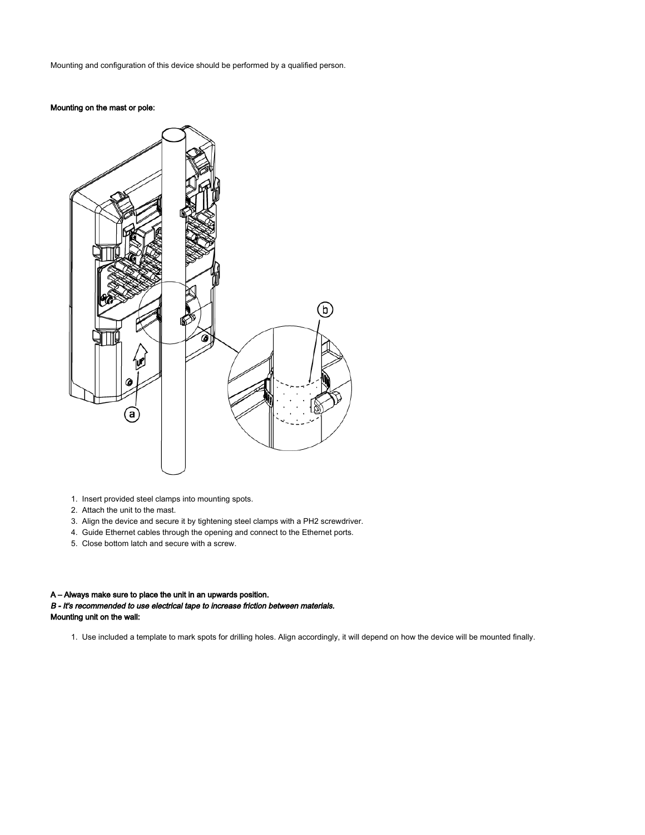Mounting and configuration of this device should be performed by a qualified person.

#### Mounting on the mast or pole:



- 1. Insert provided steel clamps into mounting spots.
- 2. Attach the unit to the mast.
- 3. Align the device and secure it by tightening steel clamps with a PH2 screwdriver.
- 4. Guide Ethernet cables through the opening and connect to the Ethernet ports.
- 5. Close bottom latch and secure with a screw.

#### A – Always make sure to place the unit in an upwards position.

B - It's recommended to use electrical tape to increase friction between materials. Mounting unit on the wall:

1. Use included a template to mark spots for drilling holes. Align accordingly, it will depend on how the device will be mounted finally.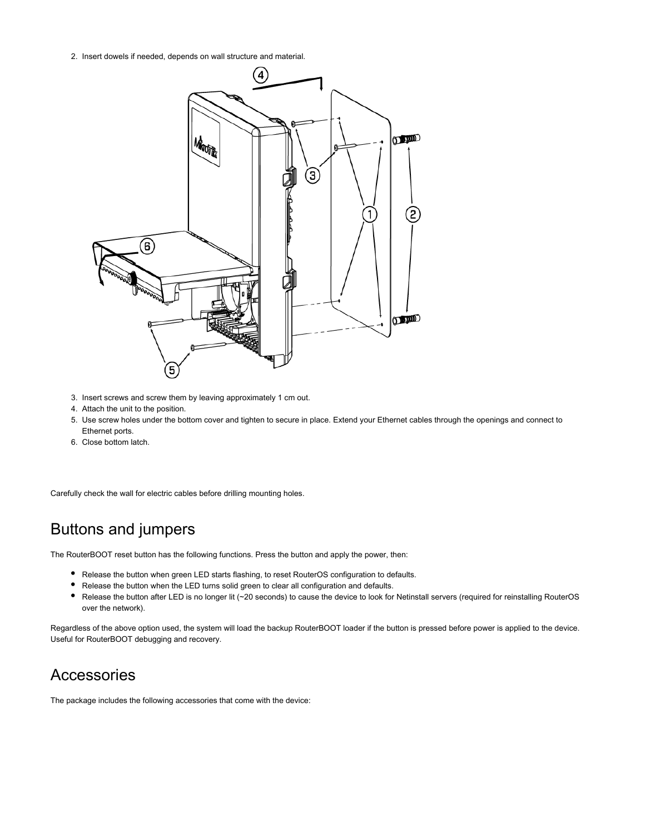2. Insert dowels if needed, depends on wall structure and material.



- 3. Insert screws and screw them by leaving approximately 1 cm out.
- 4. Attach the unit to the position.
- 5. Use screw holes under the bottom cover and tighten to secure in place. Extend your Ethernet cables through the openings and connect to Ethernet ports.
- 6. Close bottom latch.

Carefully check the wall for electric cables before drilling mounting holes.

## Buttons and jumpers

The RouterBOOT reset button has the following functions. Press the button and apply the power, then:

- Release the button when green LED starts flashing, to reset RouterOS configuration to defaults.
- $\bullet$ Release the button when the LED turns solid green to clear all configuration and defaults.
- Release the button after LED is no longer lit (~20 seconds) to cause the device to look for Netinstall servers (required for reinstalling RouterOS over the network).

Regardless of the above option used, the system will load the backup RouterBOOT loader if the button is pressed before power is applied to the device. Useful for RouterBOOT debugging and recovery.

## Accessories

The package includes the following accessories that come with the device: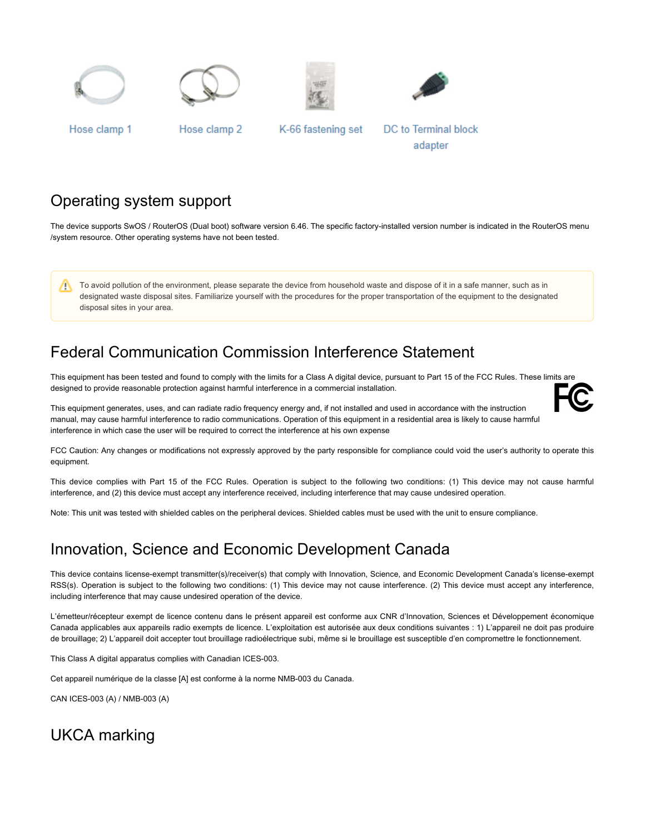







Hose clamp 1

Hose clamp 2

K-66 fastening set

**DC** to Terminal block adapter

## Operating system support

The device supports SwOS / RouterOS (Dual boot) software version 6.46. The specific factory-installed version number is indicated in the RouterOS menu /system resource. Other operating systems have not been tested.

To avoid pollution of the environment, please separate the device from household waste and dispose of it in a safe manner, such as in /\ designated waste disposal sites. Familiarize yourself with the procedures for the proper transportation of the equipment to the designated disposal sites in your area.

## Federal Communication Commission Interference Statement

This equipment has been tested and found to comply with the limits for a Class A digital device, pursuant to Part 15 of the FCC Rules. These limits are designed to provide reasonable protection against harmful interference in a commercial installation.

This equipment generates, uses, and can radiate radio frequency energy and, if not installed and used in accordance with the instruction manual, may cause harmful interference to radio communications. Operation of this equipment in a residential area is likely to cause harmful interference in which case the user will be required to correct the interference at his own expense

FCC Caution: Any changes or modifications not expressly approved by the party responsible for compliance could void the user's authority to operate this equipment.

This device complies with Part 15 of the FCC Rules. Operation is subject to the following two conditions: (1) This device may not cause harmful interference, and (2) this device must accept any interference received, including interference that may cause undesired operation.

Note: This unit was tested with shielded cables on the peripheral devices. Shielded cables must be used with the unit to ensure compliance.

## Innovation, Science and Economic Development Canada

This device contains license-exempt transmitter(s)/receiver(s) that comply with Innovation, Science, and Economic Development Canada's license-exempt RSS(s). Operation is subject to the following two conditions: (1) This device may not cause interference. (2) This device must accept any interference, including interference that may cause undesired operation of the device.

L'émetteur/récepteur exempt de licence contenu dans le présent appareil est conforme aux CNR d'Innovation, Sciences et Développement économique Canada applicables aux appareils radio exempts de licence. L'exploitation est autorisée aux deux conditions suivantes : 1) L'appareil ne doit pas produire de brouillage; 2) L'appareil doit accepter tout brouillage radioélectrique subi, même si le brouillage est susceptible d'en compromettre le fonctionnement.

This Class A digital apparatus complies with Canadian ICES-003.

Cet appareil numérique de la classe [A] est conforme à la norme NMB-003 du Canada.

CAN ICES-003 (A) / NMB-003 (A)

## UKCA marking